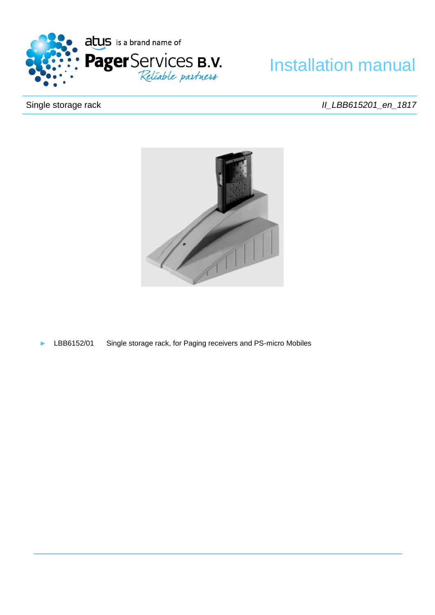

# Installation manual

# Single storage rack

*II\_LBB615201\_en\_1817*



► LBB6152/01 Single storage rack, for Paging receivers and PS-micro Mobiles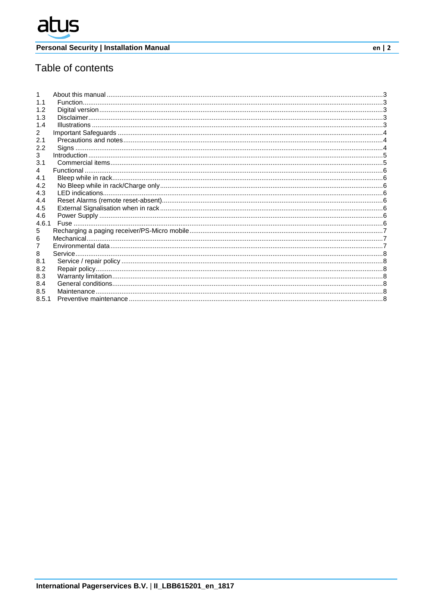# Table of contents

| 1.1   |  |
|-------|--|
| 1.2   |  |
| 1.3   |  |
| 1.4   |  |
| 2     |  |
| 2.1   |  |
| 2.2   |  |
| 3     |  |
| 3.1   |  |
| 4     |  |
| 4.1   |  |
| 4.2   |  |
| 4.3   |  |
| 4.4   |  |
| 4.5   |  |
| 4.6   |  |
| 4.6.1 |  |
| 5     |  |
| 6     |  |
|       |  |
| 8     |  |
| 8.1   |  |
| 8.2   |  |
| 8.3   |  |
| 8.4   |  |
| 8.5   |  |
| 8.5.1 |  |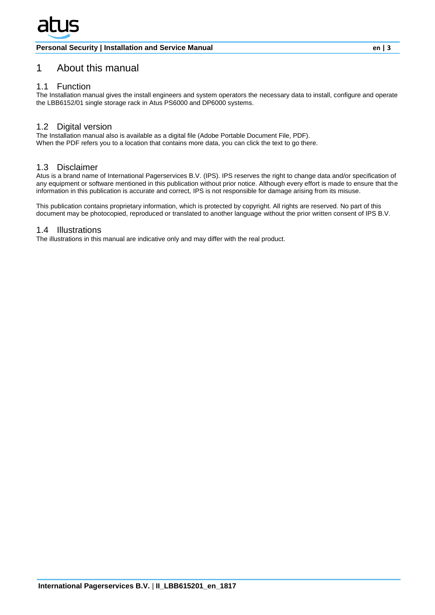# <span id="page-2-0"></span>1 About this manual

# <span id="page-2-1"></span>1.1 Function

The Installation manual gives the install engineers and system operators the necessary data to install, configure and operate the LBB6152/01 single storage rack in Atus PS6000 and DP6000 systems.

# <span id="page-2-2"></span>1.2 Digital version

The Installation manual also is available as a digital file (Adobe Portable Document File, PDF). When the PDF refers you to a location that contains more data, you can click the text to go there.

# <span id="page-2-3"></span>1.3 Disclaimer

Atus is a brand name of International Pagerservices B.V. (IPS). IPS reserves the right to change data and/or specification of any equipment or software mentioned in this publication without prior notice. Although every effort is made to ensure that the information in this publication is accurate and correct, IPS is not responsible for damage arising from its misuse.

This publication contains proprietary information, which is protected by copyright. All rights are reserved. No part of this document may be photocopied, reproduced or translated to another language without the prior written consent of IPS B.V.

#### <span id="page-2-4"></span>1.4 Illustrations

The illustrations in this manual are indicative only and may differ with the real product.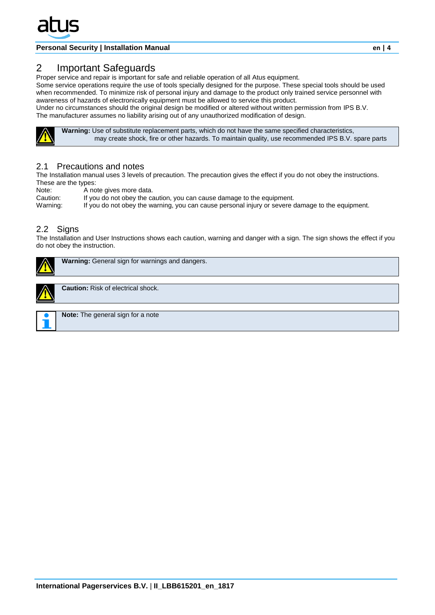

# <span id="page-3-0"></span>2 Important Safeguards

Proper service and repair is important for safe and reliable operation of all Atus equipment.

Some service operations require the use of tools specially designed for the purpose. These special tools should be used when recommended. To minimize risk of personal injury and damage to the product only trained service personnel with awareness of hazards of electronically equipment must be allowed to service this product.

Under no circumstances should the original design be modified or altered without written permission from IPS B.V. The manufacturer assumes no liability arising out of any unauthorized modification of design.



 **Warning:** Use of substitute replacement parts, which do not have the same specified characteristics, may create shock, fire or other hazards. To maintain quality, use recommended IPS B.V. spare parts

#### <span id="page-3-1"></span>2.1 Precautions and notes

The Installation manual uses 3 levels of precaution. The precaution gives the effect if you do not obey the instructions. These are the types:

Note: A note gives more data.<br>Caution: If you do not obey the ca

Caution: If you do not obey the caution, you can cause damage to the equipment.<br>Warning: If you do not obey the warning, you can cause personal injury or severe

If you do not obey the warning, you can cause personal injury or severe damage to the equipment.

#### <span id="page-3-2"></span>2.2 Signs

The Installation and User Instructions shows each caution, warning and danger with a sign. The sign shows the effect if you do not obey the instruction.

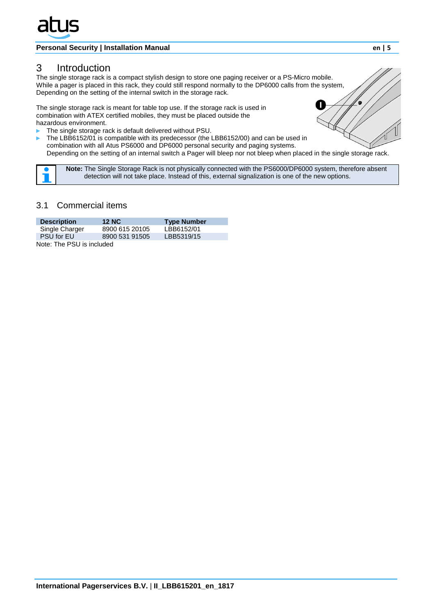

# <span id="page-4-0"></span>3 Introduction

The single storage rack is a compact stylish design to store one paging receiver or a PS-Micro mobile. While a pager is placed in this rack, they could still respond normally to the DP6000 calls from the system, Depending on the setting of the internal switch in the storage rack.

The single storage rack is meant for table top use. If the storage rack is used in combination with ATEX certified mobiles, they must be placed outside the hazardous environment.

- The single storage rack is default delivered without PSU.
- The LBB6152/01 is compatible with its predecessor (the LBB6152/00) and can be used in combination with all Atus PS6000 and DP6000 personal security and paging systems. Depending on the setting of an internal switch a Pager will bleep nor not bleep when placed in the single storage rack.

 **Note:** The Single Storage Rack is not physically connected with the PS6000/DP6000 system, therefore absent detection will not take place. Instead of this, external signalization is one of the new options.

# <span id="page-4-1"></span>3.1 Commercial items

| <b>Description</b>        | <b>12 NC</b>   | <b>Type Number</b> |  |  |  |
|---------------------------|----------------|--------------------|--|--|--|
| Single Charger            | 8900 615 20105 | LBB6152/01         |  |  |  |
| <b>PSU</b> for EU         | 8900 531 91505 | LBB5319/15         |  |  |  |
| Note: The PSU is included |                |                    |  |  |  |

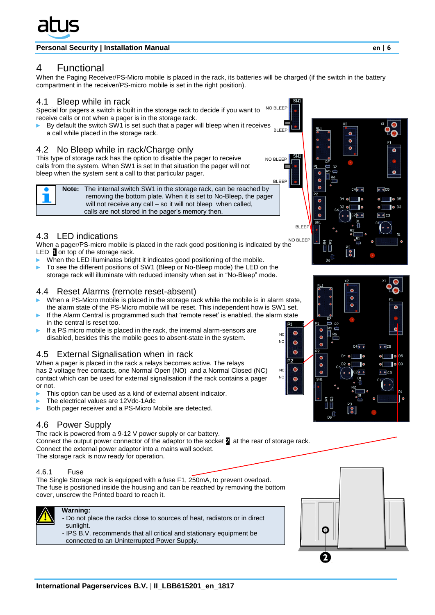

# <span id="page-5-0"></span>4 Functional

When the Paging Receiver/PS-Micro mobile is placed in the rack, its batteries will be charged (if the switch in the battery compartment in the receiver/PS-micro mobile is set in the right position).

## <span id="page-5-1"></span>4.1 Bleep while in rack

Special for pagers a switch is built in the storage rack to decide if you want to receive calls or not when a pager is in the storage rack. NO BLEEP

By default the switch SW1 is set such that a pager will bleep when it receives a call while placed in the storage rack. BLEEP

## 4.2 No Bleep while in rack/Charge only

This type of storage rack has the option to disable the pager to receive calls from the system. When SW1 is set In that situation the pager will not bleep when the system sent a call to that particular pager.

<span id="page-5-2"></span>

NC N<sub>C</sub>

NC NO  $\bullet$ 

 $\bullet$ 

 $\bullet$ 

 $\bullet$ 

 $\bullet$ 

calls are not stored in the pager's memory then.

# <span id="page-5-3"></span>4.3 LED indications

When a pager/PS-micro mobile is placed in the rack good positioning is indicated by the LED 1 on top of the storage rack. NO BLEEP

- When the LED illuminates bright it indicates good positioning of the mobile.
- To see the different positions of SW1 (Bleep or No-Bleep mode) the LED on the storage rack will illuminate with reduced intensity when set in "No-Bleep" mode.

## <span id="page-5-4"></span>4.4 Reset Alarms (remote reset-absent)

- When a PS-Micro mobile is placed in the storage rack while the mobile is in alarm state, the alarm state of the PS-Micro mobile will be reset. This independent how is SW1 set.
- If the Alarm Central is programmed such that 'remote reset' is enabled, the alarm state in the central is reset too.
- If a PS micro mobile is placed in the rack, the internal alarm-sensors are disabled, besides this the mobile goes to absent-state in the system.

# <span id="page-5-5"></span>4.5 External Signalisation when in rack

When a pager is placed in the rack a relays becomes active. The relays has 2 voltage free contacts, one Normal Open (NO) and a Normal Closed (NC) contact which can be used for external signalisation if the rack contains a pager or not.

- This option can be used as a kind of external absent indicator.
- The electrical values are 12Vdc-1Adc
- Both pager receiver and a PS-Micro Mobile are detected.

# <span id="page-5-6"></span>4.6 Power Supply

The rack is powered from a 9-12 V power supply or car battery. Connect the output power connector of the adaptor to the socket 2 at the rear of storage rack. Connect the external power adaptor into a mains wall socket. The storage rack is now ready for operation.

#### <span id="page-5-7"></span>4.6.1 Fuse

The Single Storage rack is equipped with a fuse F1, 250mA, to prevent overload. The fuse is positioned inside the housing and can be reached by removing the bottom cover, unscrew the Printed board to reach it.



## **Warning:**

- Do not place the racks close to sources of heat, radiators or in direct sunlight.

- IPS B.V. recommends that all critical and stationary equipment be connected to an Uninterrupted Power Supply.



 $\bullet$  $\overline{\mathbf{o}}$ 

 $\bullet$ 

 $C4$  o o

i<br>Barati<br>Barati  $D6$  κ



 $\bullet$ 

 $\circ$   $\circ$  C5

 $\bullet$   $\bullet$  D5  $\bullet$   $\bullet$  D3  $\bullet$   $\bullet$  C3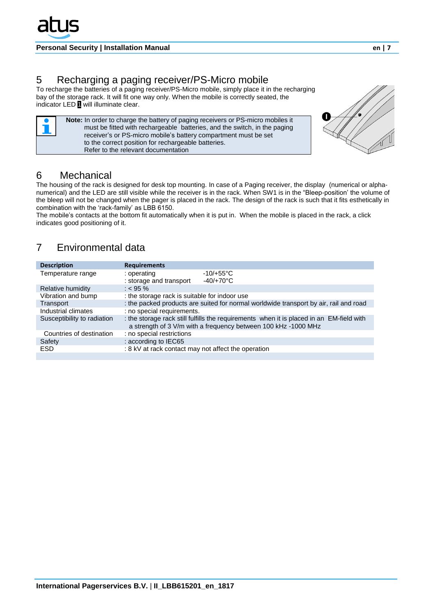# <span id="page-6-0"></span>5 Recharging a paging receiver/PS-Micro mobile

to the correct position for rechargeable batteries.

Refer to the relevant documentation

To recharge the batteries of a paging receiver/PS-Micro mobile, simply place it in the recharging bay of the storage rack. It will fit one way only. When the mobile is correctly seated, the indicator LED <sup>1</sup> will illuminate clear.

> **Note:** In order to charge the battery of paging receivers or PS-micro mobiles it must be fitted with rechargeable batteries, and the switch, in the paging receiver's or PS-micro mobile's battery compartment must be set



# <span id="page-6-1"></span>6 Mechanical

The housing of the rack is designed for desk top mounting. In case of a Paging receiver, the display (numerical or alphanumerical) and the LED are still visible while the receiver is in the rack. When SW1 is in the "Bleep-position' the volume of the bleep will not be changed when the pager is placed in the rack. The design of the rack is such that it fits esthetically in combination with the 'rack-family' as LBB 6150.

The mobile's contacts at the bottom fit automatically when it is put in. When the mobile is placed in the rack, a click indicates good positioning of it.

# <span id="page-6-2"></span>7 Environmental data

| <b>Description</b>          | <b>Requirements</b>                                                                                                                                        |  |  |  |
|-----------------------------|------------------------------------------------------------------------------------------------------------------------------------------------------------|--|--|--|
| Temperature range           | $-10/+55^{\circ}$ C<br>: operating<br>$-40/+70^{\circ}$ C<br>: storage and transport                                                                       |  |  |  |
| Relative humidity           | $: < 95 \%$                                                                                                                                                |  |  |  |
| Vibration and bump          | : the storage rack is suitable for indoor use                                                                                                              |  |  |  |
| Transport                   | : the packed products are suited for normal worldwide transport by air, rail and road                                                                      |  |  |  |
| Industrial climates         | : no special requirements.                                                                                                                                 |  |  |  |
| Susceptibility to radiation | : the storage rack still fulfills the requirements when it is placed in an EM-field with<br>a strength of 3 V/m with a frequency between 100 kHz -1000 MHz |  |  |  |
| Countries of destination    | : no special restrictions                                                                                                                                  |  |  |  |
| Safety                      | : according to IEC65                                                                                                                                       |  |  |  |
| <b>ESD</b>                  | : 8 kV at rack contact may not affect the operation                                                                                                        |  |  |  |
|                             |                                                                                                                                                            |  |  |  |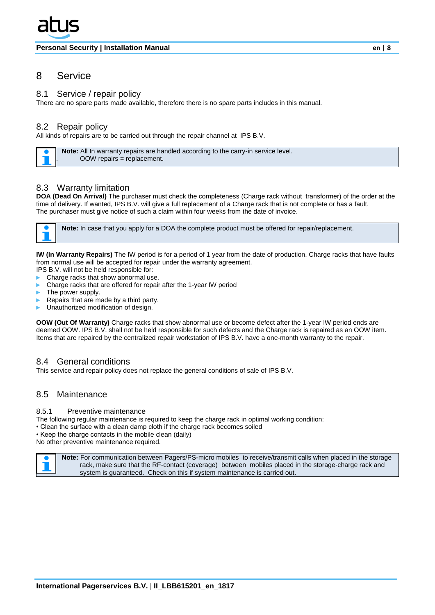# <span id="page-7-0"></span>8 Service

#### <span id="page-7-1"></span>8.1 Service / repair policy

There are no spare parts made available, therefore there is no spare parts includes in this manual.

## <span id="page-7-2"></span>8.2 Repair policy

All kinds of repairs are to be carried out through the repair channel at IPS B.V.

 **Note:** All In warranty repairs are handled according to the carry-in service level. . OOW repairs = replacement.

## <span id="page-7-3"></span>8.3 Warranty limitation

**DOA (Dead On Arrival)** The purchaser must check the completeness (Charge rack without transformer) of the order at the time of delivery. If wanted, IPS B.V. will give a full replacement of a Charge rack that is not complete or has a fault. The purchaser must give notice of such a claim within four weeks from the date of invoice.



**IW (In Warranty Repairs)** The IW period is for a period of 1 year from the date of production. Charge racks that have faults from normal use will be accepted for repair under the warranty agreement.

- IPS B.V. will not be held responsible for:
- Charge racks that show abnormal use.
- Charge racks that are offered for repair after the 1-year IW period
- The power supply.
- Repairs that are made by a third party.
- Unauthorized modification of design.

**OOW (Out Of Warranty)** Charge racks that show abnormal use or become defect after the 1-year IW period ends are deemed OOW. IPS B.V. shall not be held responsible for such defects and the Charge rack is repaired as an OOW item. Items that are repaired by the centralized repair workstation of IPS B.V. have a one-month warranty to the repair.

#### <span id="page-7-4"></span>8.4 General conditions

This service and repair policy does not replace the general conditions of sale of IPS B.V.

# <span id="page-7-5"></span>8.5 Maintenance

#### <span id="page-7-6"></span>8.5.1 Preventive maintenance

- The following regular maintenance is required to keep the charge rack in optimal working condition:
- Clean the surface with a clean damp cloth if the charge rack becomes soiled
- Keep the charge contacts in the mobile clean (daily)

No other preventive maintenance required.